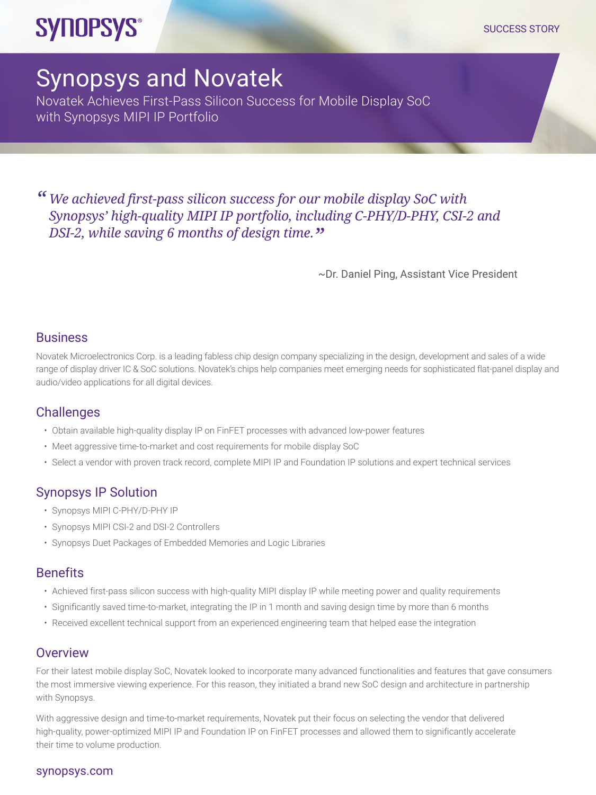#### SUCCESS STORY

## **SYNOPSYS®**

# Synopsys and Novatek

Novatek Achieves First-Pass Silicon Success for Mobile Display SoC with Synopsys MIPI IP Portfolio

*" We achieved first-pass silicon success for our mobile display SoC with Synopsys' high-quality MIPI IP portfolio, including C-PHY/D-PHY, CSI-2 and DSI-2, while saving 6 months of design time."*

~Dr. Daniel Ping, Assistant Vice President

#### **Business**

Novatek Microelectronics Corp. is a leading fabless chip design company specializing in the design, development and sales of a wide range of display driver IC & SoC solutions. Novatek's chips help companies meet emerging needs for sophisticated flat-panel display and audio/video applications for all digital devices.

#### **Challenges**

- Obtain available high-quality display IP on FinFET processes with advanced low-power features
- Meet aggressive time-to-market and cost requirements for mobile display SoC
- Select a vendor with proven track record, complete MIPI IP and Foundation IP solutions and expert technical services

### Synopsys IP Solution

- Synopsys MIPI C-PHY/D-PHY IP
- Synopsys MIPI CSI-2 and DSI-2 Controllers
- Synopsys Duet Packages of Embedded Memories and Logic Libraries

#### Benefits

- Achieved first-pass silicon success with high-quality MIPI display IP while meeting power and quality requirements
- Significantly saved time-to-market, integrating the IP in 1 month and saving design time by more than 6 months
- Received excellent technical support from an experienced engineering team that helped ease the integration

#### **Overview**

For their latest mobile display SoC, Novatek looked to incorporate many advanced functionalities and features that gave consumers the most immersive viewing experience. For this reason, they initiated a brand new SoC design and architecture in partnership with Synopsys.

With aggressive design and time-to-market requirements, Novatek put their focus on selecting the vendor that delivered high-quality, power-optimized MIPI IP and Foundation IP on FinFET processes and allowed them to significantly accelerate their time to volume production.

#### [synopsys.com](http://synopsys.com)